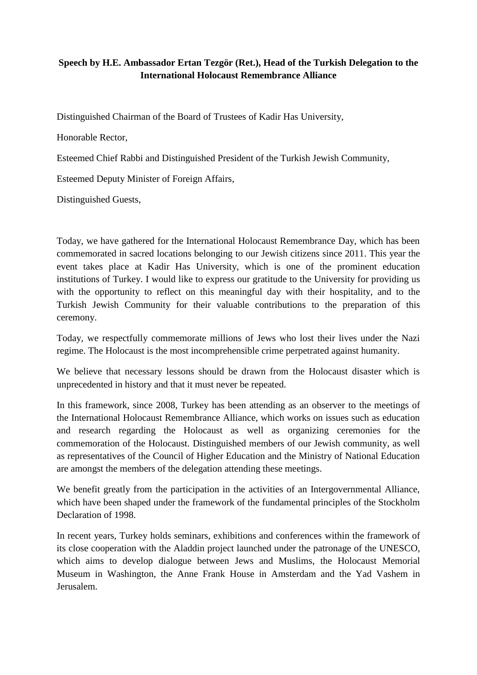## **Speech by H.E. Ambassador Ertan Tezgör (Ret.), Head of the Turkish Delegation to the International Holocaust Remembrance Alliance**

Distinguished Chairman of the Board of Trustees of Kadir Has University,

Honorable Rector,

Esteemed Chief Rabbi and Distinguished President of the Turkish Jewish Community,

Esteemed Deputy Minister of Foreign Affairs,

Distinguished Guests,

Today, we have gathered for the International Holocaust Remembrance Day, which has been commemorated in sacred locations belonging to our Jewish citizens since 2011. This year the event takes place at Kadir Has University, which is one of the prominent education institutions of Turkey. I would like to express our gratitude to the University for providing us with the opportunity to reflect on this meaningful day with their hospitality, and to the Turkish Jewish Community for their valuable contributions to the preparation of this ceremony.

Today, we respectfully commemorate millions of Jews who lost their lives under the Nazi regime. The Holocaust is the most incomprehensible crime perpetrated against humanity.

We believe that necessary lessons should be drawn from the Holocaust disaster which is unprecedented in history and that it must never be repeated.

In this framework, since 2008, Turkey has been attending as an observer to the meetings of the International Holocaust Remembrance Alliance, which works on issues such as education and research regarding the Holocaust as well as organizing ceremonies for the commemoration of the Holocaust. Distinguished members of our Jewish community, as well as representatives of the Council of Higher Education and the Ministry of National Education are amongst the members of the delegation attending these meetings.

We benefit greatly from the participation in the activities of an Intergovernmental Alliance, which have been shaped under the framework of the fundamental principles of the Stockholm Declaration of 1998.

In recent years, Turkey holds seminars, exhibitions and conferences within the framework of its close cooperation with the Aladdin project launched under the patronage of the UNESCO, which aims to develop dialogue between Jews and Muslims, the Holocaust Memorial Museum in Washington, the Anne Frank House in Amsterdam and the Yad Vashem in Jerusalem.